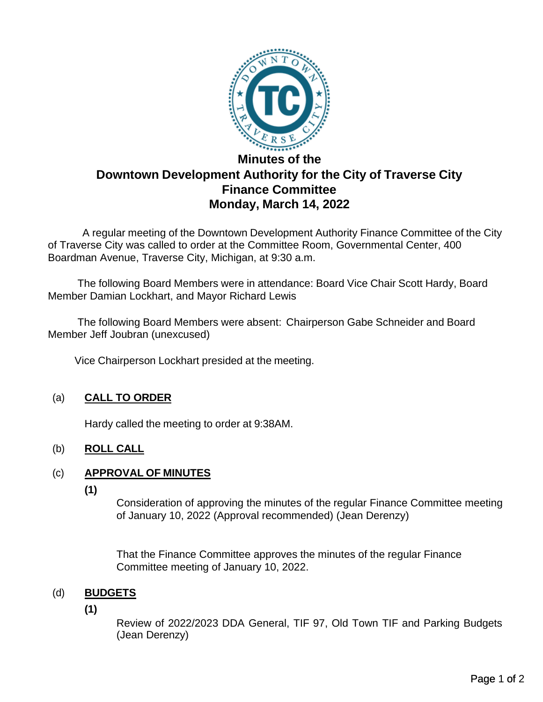

# **Minutes of the Downtown Development Authority for the City of Traverse City Finance Committee Monday, March 14, 2022**

A regular meeting of the Downtown Development Authority Finance Committee of the City of Traverse City was called to order at the Committee Room, Governmental Center, 400 Boardman Avenue, Traverse City, Michigan, at 9:30 a.m.

The following Board Members were in attendance: Board Vice Chair Scott Hardy, Board Member Damian Lockhart, and Mayor Richard Lewis

The following Board Members were absent: Chairperson Gabe Schneider and Board Member Jeff Joubran (unexcused)

Vice Chairperson Lockhart presided at the meeting.

## (a) **CALL TO ORDER**

Hardy called the meeting to order at 9:38AM.

## (b) **ROLL CALL**

## (c) **APPROVAL OF MINUTES**

**(1)**

Consideration of approving the minutes of the regular Finance Committee meeting of January 10, 2022 (Approval recommended) (Jean Derenzy)

That the Finance Committee approves the minutes of the regular Finance Committee meeting of January 10, 2022.

## (d) **BUDGETS**

**(1)**

Review of 2022/2023 DDA General, TIF 97, Old Town TIF and Parking Budgets (Jean Derenzy)